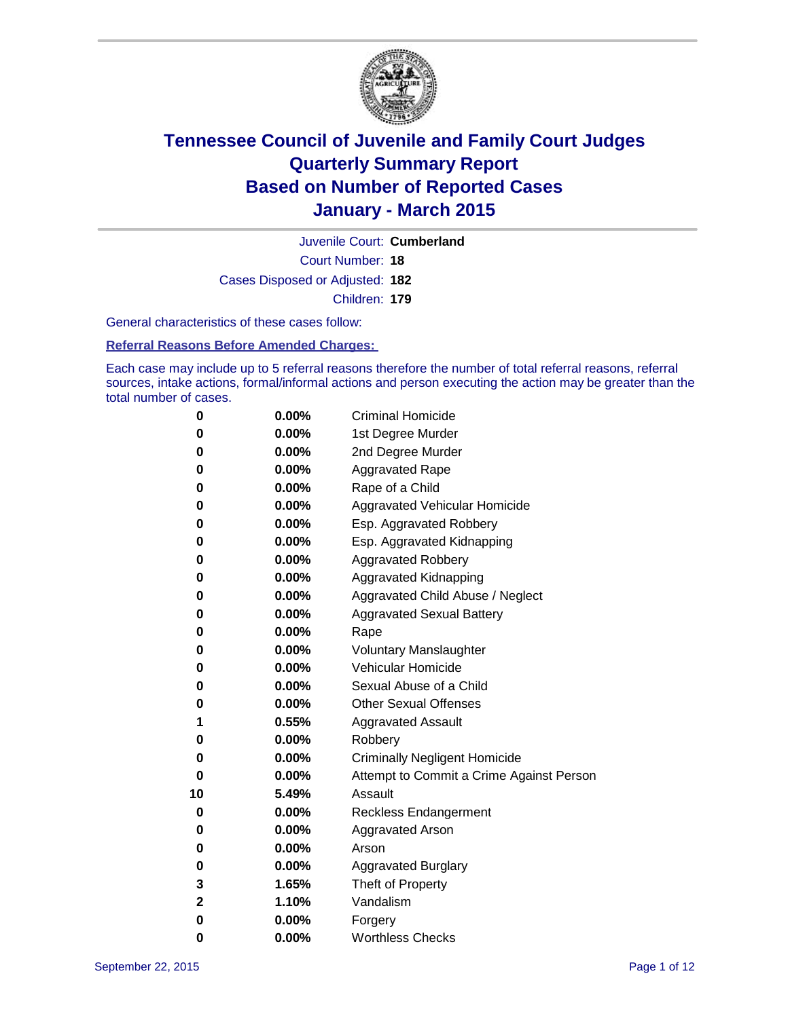

Court Number: **18** Juvenile Court: **Cumberland** Cases Disposed or Adjusted: **182** Children: **179**

General characteristics of these cases follow:

**Referral Reasons Before Amended Charges:** 

Each case may include up to 5 referral reasons therefore the number of total referral reasons, referral sources, intake actions, formal/informal actions and person executing the action may be greater than the total number of cases.

| 0  | 0.00%    | <b>Criminal Homicide</b>                 |
|----|----------|------------------------------------------|
| 0  | 0.00%    | 1st Degree Murder                        |
| 0  | 0.00%    | 2nd Degree Murder                        |
| 0  | 0.00%    | <b>Aggravated Rape</b>                   |
| 0  | 0.00%    | Rape of a Child                          |
| 0  | 0.00%    | Aggravated Vehicular Homicide            |
| 0  | 0.00%    | Esp. Aggravated Robbery                  |
| 0  | 0.00%    | Esp. Aggravated Kidnapping               |
| 0  | 0.00%    | <b>Aggravated Robbery</b>                |
| 0  | 0.00%    | <b>Aggravated Kidnapping</b>             |
| 0  | $0.00\%$ | Aggravated Child Abuse / Neglect         |
| 0  | $0.00\%$ | <b>Aggravated Sexual Battery</b>         |
| 0  | 0.00%    | Rape                                     |
| 0  | $0.00\%$ | <b>Voluntary Manslaughter</b>            |
| 0  | $0.00\%$ | <b>Vehicular Homicide</b>                |
| 0  | 0.00%    | Sexual Abuse of a Child                  |
| 0  | 0.00%    | <b>Other Sexual Offenses</b>             |
| 1  | 0.55%    | <b>Aggravated Assault</b>                |
| 0  | 0.00%    | Robbery                                  |
| 0  | 0.00%    | <b>Criminally Negligent Homicide</b>     |
| 0  | $0.00\%$ | Attempt to Commit a Crime Against Person |
| 10 | 5.49%    | Assault                                  |
| 0  | 0.00%    | <b>Reckless Endangerment</b>             |
| 0  | $0.00\%$ | <b>Aggravated Arson</b>                  |
| 0  | $0.00\%$ | Arson                                    |
| 0  | 0.00%    | <b>Aggravated Burglary</b>               |
| 3  | 1.65%    | Theft of Property                        |
| 2  | 1.10%    | Vandalism                                |
| 0  | $0.00\%$ | Forgery                                  |
| 0  | 0.00%    | <b>Worthless Checks</b>                  |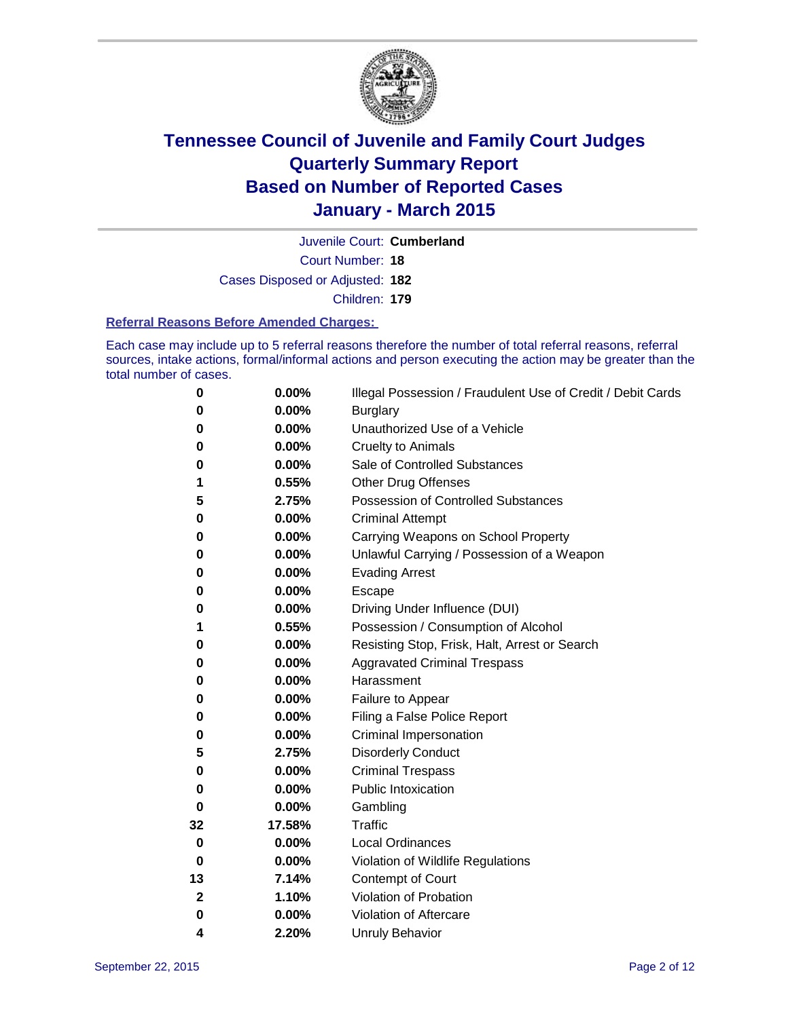

Court Number: **18** Juvenile Court: **Cumberland** Cases Disposed or Adjusted: **182** Children: **179**

#### **Referral Reasons Before Amended Charges:**

Each case may include up to 5 referral reasons therefore the number of total referral reasons, referral sources, intake actions, formal/informal actions and person executing the action may be greater than the total number of cases.

| 0        | 0.00%  | Illegal Possession / Fraudulent Use of Credit / Debit Cards |
|----------|--------|-------------------------------------------------------------|
| 0        | 0.00%  | <b>Burglary</b>                                             |
| 0        | 0.00%  | Unauthorized Use of a Vehicle                               |
| 0        | 0.00%  | <b>Cruelty to Animals</b>                                   |
| 0        | 0.00%  | Sale of Controlled Substances                               |
| 1        | 0.55%  | <b>Other Drug Offenses</b>                                  |
| 5        | 2.75%  | <b>Possession of Controlled Substances</b>                  |
| 0        | 0.00%  | <b>Criminal Attempt</b>                                     |
| 0        | 0.00%  | Carrying Weapons on School Property                         |
| 0        | 0.00%  | Unlawful Carrying / Possession of a Weapon                  |
| 0        | 0.00%  | <b>Evading Arrest</b>                                       |
| 0        | 0.00%  | Escape                                                      |
| 0        | 0.00%  | Driving Under Influence (DUI)                               |
| 1        | 0.55%  | Possession / Consumption of Alcohol                         |
| 0        | 0.00%  | Resisting Stop, Frisk, Halt, Arrest or Search               |
| 0        | 0.00%  | <b>Aggravated Criminal Trespass</b>                         |
| 0        | 0.00%  | Harassment                                                  |
| 0        | 0.00%  | Failure to Appear                                           |
| 0        | 0.00%  | Filing a False Police Report                                |
| 0        | 0.00%  | Criminal Impersonation                                      |
| 5        | 2.75%  | <b>Disorderly Conduct</b>                                   |
| 0        | 0.00%  | <b>Criminal Trespass</b>                                    |
| 0        | 0.00%  | <b>Public Intoxication</b>                                  |
| $\bf{0}$ | 0.00%  | Gambling                                                    |
| 32       | 17.58% | <b>Traffic</b>                                              |
| 0        | 0.00%  | <b>Local Ordinances</b>                                     |
| 0        | 0.00%  | Violation of Wildlife Regulations                           |
| 13       | 7.14%  | Contempt of Court                                           |
| 2        | 1.10%  | Violation of Probation                                      |
| 0        | 0.00%  | Violation of Aftercare                                      |
| 4        | 2.20%  | <b>Unruly Behavior</b>                                      |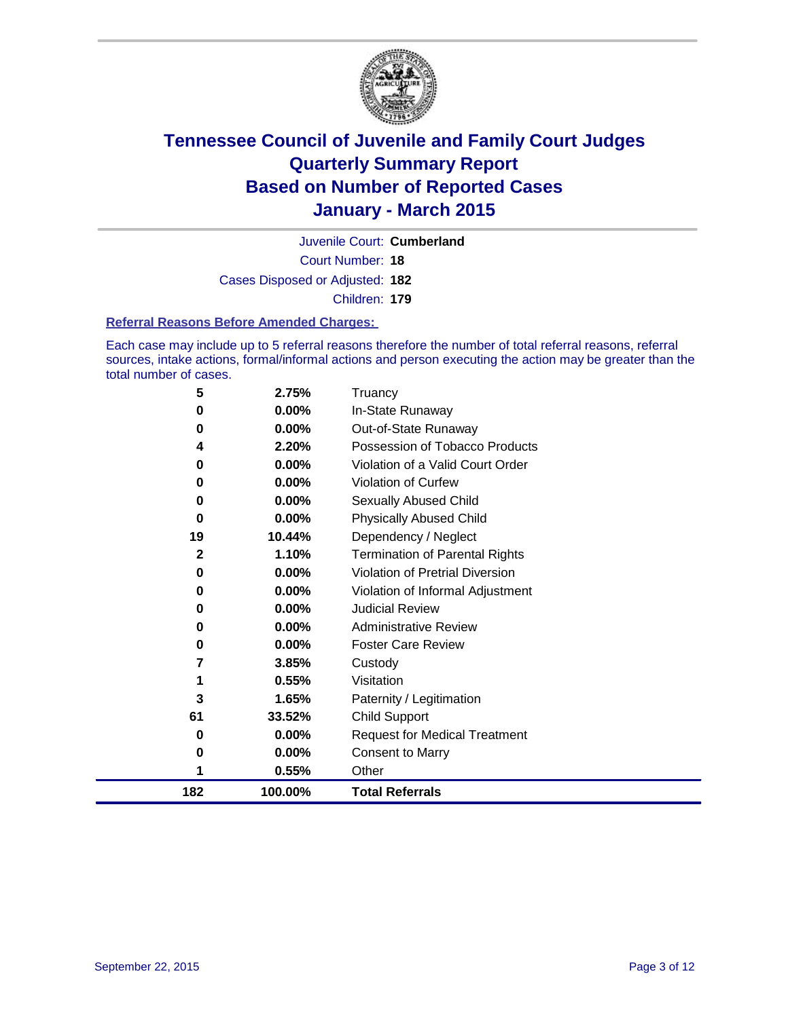

Court Number: **18** Juvenile Court: **Cumberland** Cases Disposed or Adjusted: **182** Children: **179**

#### **Referral Reasons Before Amended Charges:**

Each case may include up to 5 referral reasons therefore the number of total referral reasons, referral sources, intake actions, formal/informal actions and person executing the action may be greater than the total number of cases.

| 5            | 2.75%    | Truancy                                |
|--------------|----------|----------------------------------------|
| 0            | 0.00%    | In-State Runaway                       |
| 0            | $0.00\%$ | Out-of-State Runaway                   |
| 4            | 2.20%    | Possession of Tobacco Products         |
| 0            | $0.00\%$ | Violation of a Valid Court Order       |
| 0            | $0.00\%$ | <b>Violation of Curfew</b>             |
| 0            | 0.00%    | Sexually Abused Child                  |
| 0            | 0.00%    | <b>Physically Abused Child</b>         |
| 19           | 10.44%   | Dependency / Neglect                   |
| $\mathbf{2}$ | 1.10%    | <b>Termination of Parental Rights</b>  |
| 0            | 0.00%    | <b>Violation of Pretrial Diversion</b> |
| 0            | 0.00%    | Violation of Informal Adjustment       |
| 0            | $0.00\%$ | <b>Judicial Review</b>                 |
| 0            | $0.00\%$ | <b>Administrative Review</b>           |
| 0            | 0.00%    | <b>Foster Care Review</b>              |
| 7            | 3.85%    | Custody                                |
|              | 0.55%    | Visitation                             |
| 3            | 1.65%    | Paternity / Legitimation               |
| 61           | 33.52%   | Child Support                          |
| 0            | 0.00%    | <b>Request for Medical Treatment</b>   |
| 0            | 0.00%    | <b>Consent to Marry</b>                |
|              | 0.55%    | Other                                  |
| 182          | 100.00%  | <b>Total Referrals</b>                 |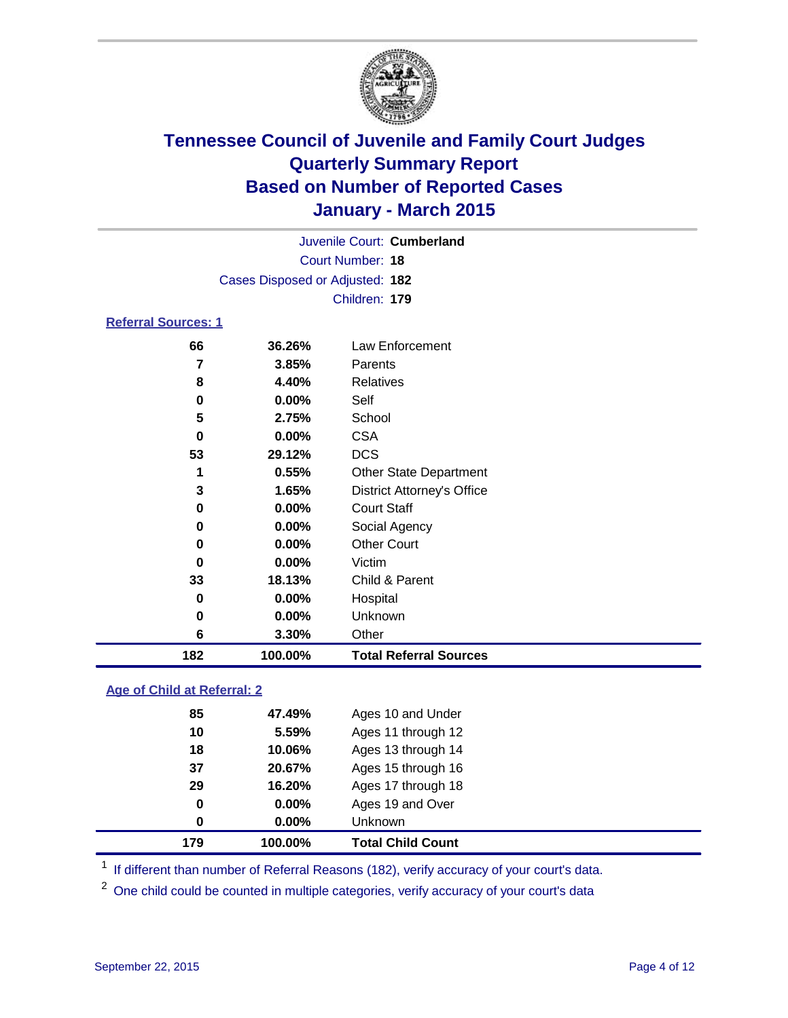

| Juvenile Court: Cumberland      |  |
|---------------------------------|--|
| Court Number: 18                |  |
| Cases Disposed or Adjusted: 182 |  |
| Children: 179                   |  |
|                                 |  |

### **Referral Sources: 1**

| 182 | 100.00%  | <b>Total Referral Sources</b>     |
|-----|----------|-----------------------------------|
| 6   | 3.30%    | Other                             |
| 0   | $0.00\%$ | Unknown                           |
| 0   | 0.00%    | Hospital                          |
| 33  | 18.13%   | Child & Parent                    |
| 0   | $0.00\%$ | Victim                            |
| 0   | $0.00\%$ | <b>Other Court</b>                |
| 0   | $0.00\%$ | Social Agency                     |
| 0   | $0.00\%$ | <b>Court Staff</b>                |
| 3   | 1.65%    | <b>District Attorney's Office</b> |
|     | 0.55%    | <b>Other State Department</b>     |
| 53  | 29.12%   | <b>DCS</b>                        |
| 0   | $0.00\%$ | <b>CSA</b>                        |
| 5   | 2.75%    | School                            |
| 0   | $0.00\%$ | Self                              |
| 8   | 4.40%    | <b>Relatives</b>                  |
| 7   | 3.85%    | <b>Parents</b>                    |
| 66  | 36.26%   | Law Enforcement                   |

### **Age of Child at Referral: 2**

| 179 | 100.00%  | <b>Total Child Count</b> |
|-----|----------|--------------------------|
| 0   | 0.00%    | <b>Unknown</b>           |
| 0   | $0.00\%$ | Ages 19 and Over         |
| 29  | 16.20%   | Ages 17 through 18       |
| 37  | 20.67%   | Ages 15 through 16       |
| 18  | 10.06%   | Ages 13 through 14       |
| 10  | 5.59%    | Ages 11 through 12       |
| 85  | 47.49%   | Ages 10 and Under        |

<sup>1</sup> If different than number of Referral Reasons (182), verify accuracy of your court's data.

One child could be counted in multiple categories, verify accuracy of your court's data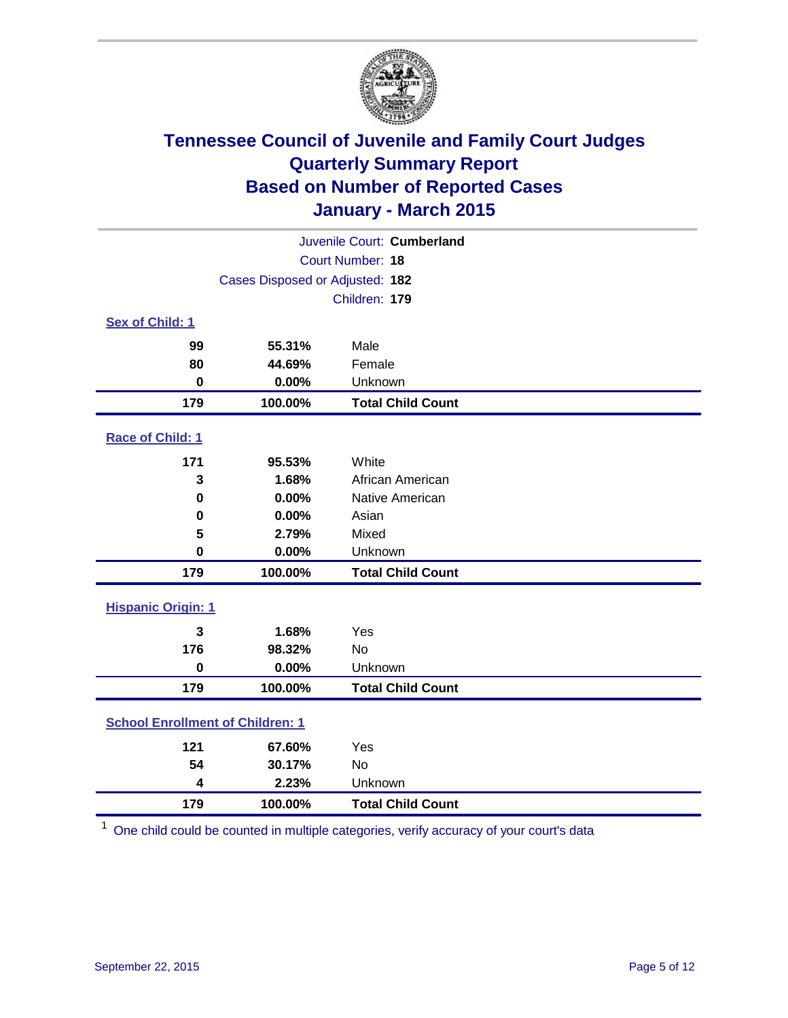

| Juvenile Court: Cumberland              |                                 |                          |  |  |
|-----------------------------------------|---------------------------------|--------------------------|--|--|
|                                         | Court Number: 18                |                          |  |  |
|                                         | Cases Disposed or Adjusted: 182 |                          |  |  |
|                                         |                                 | Children: 179            |  |  |
| Sex of Child: 1                         |                                 |                          |  |  |
| 99                                      | 55.31%                          | Male                     |  |  |
| 80                                      | 44.69%                          | Female                   |  |  |
| $\bf{0}$                                | 0.00%                           | Unknown                  |  |  |
| 179                                     | 100.00%                         | <b>Total Child Count</b> |  |  |
| Race of Child: 1                        |                                 |                          |  |  |
| 171                                     | 95.53%                          | White                    |  |  |
| 3                                       | 1.68%                           | African American         |  |  |
| 0                                       | 0.00%                           | Native American          |  |  |
| 0                                       | 0.00%                           | Asian                    |  |  |
| 5                                       | 2.79%                           | Mixed                    |  |  |
| 0                                       | 0.00%                           | Unknown                  |  |  |
| 179                                     | 100.00%                         | <b>Total Child Count</b> |  |  |
| <b>Hispanic Origin: 1</b>               |                                 |                          |  |  |
| 3                                       | 1.68%                           | Yes                      |  |  |
| 176                                     | 98.32%                          | <b>No</b>                |  |  |
| $\mathbf 0$                             | 0.00%                           | Unknown                  |  |  |
| 179                                     | 100.00%                         | <b>Total Child Count</b> |  |  |
| <b>School Enrollment of Children: 1</b> |                                 |                          |  |  |
| 121                                     | 67.60%                          | Yes                      |  |  |
| 54                                      | 30.17%                          | <b>No</b>                |  |  |
| 4                                       | 2.23%                           | Unknown                  |  |  |
| 179                                     | 100.00%                         | <b>Total Child Count</b> |  |  |

One child could be counted in multiple categories, verify accuracy of your court's data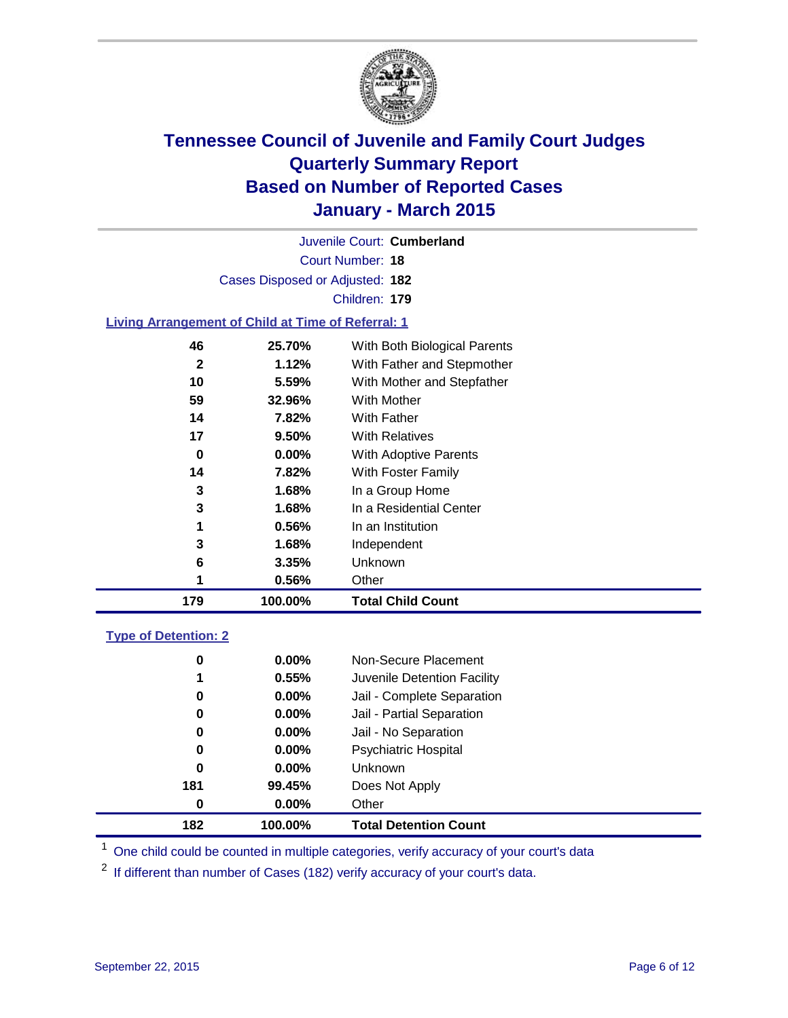

|                                                           |                                 | Juvenile Court: Cumberland   |  |  |  |
|-----------------------------------------------------------|---------------------------------|------------------------------|--|--|--|
|                                                           |                                 | Court Number: 18             |  |  |  |
|                                                           | Cases Disposed or Adjusted: 182 |                              |  |  |  |
|                                                           |                                 | Children: 179                |  |  |  |
| <b>Living Arrangement of Child at Time of Referral: 1</b> |                                 |                              |  |  |  |
| 46                                                        | 25.70%                          | With Both Biological Parents |  |  |  |
| ◠                                                         | 1.1001                          | With Fother and Ctonmather   |  |  |  |

| 179 | 100.00%  | <b>Total Child Count</b>   |  |
|-----|----------|----------------------------|--|
|     | 0.56%    | Other                      |  |
| 6   | 3.35%    | Unknown                    |  |
| 3   | 1.68%    | Independent                |  |
|     | 0.56%    | In an Institution          |  |
| 3   | 1.68%    | In a Residential Center    |  |
| 3   | 1.68%    | In a Group Home            |  |
| 14  | 7.82%    | With Foster Family         |  |
| 0   | $0.00\%$ | With Adoptive Parents      |  |
| 17  | 9.50%    | <b>With Relatives</b>      |  |
| 14  | 7.82%    | With Father                |  |
| 59  | 32.96%   | <b>With Mother</b>         |  |
| 10  | 5.59%    | With Mother and Stepfather |  |
| 2   | 1.12%    | With Father and Stepmother |  |
|     |          |                            |  |

### **Type of Detention: 2**

| 182 | 100.00%  | <b>Total Detention Count</b> |
|-----|----------|------------------------------|
| 0   | 0.00%    | Other                        |
| 181 | 99.45%   | Does Not Apply               |
| 0   | $0.00\%$ | Unknown                      |
| 0   | $0.00\%$ | <b>Psychiatric Hospital</b>  |
| 0   | $0.00\%$ | Jail - No Separation         |
| 0   | 0.00%    | Jail - Partial Separation    |
| 0   | $0.00\%$ | Jail - Complete Separation   |
| 1   | 0.55%    | Juvenile Detention Facility  |
| 0   | 0.00%    | Non-Secure Placement         |

<sup>1</sup> One child could be counted in multiple categories, verify accuracy of your court's data

If different than number of Cases (182) verify accuracy of your court's data.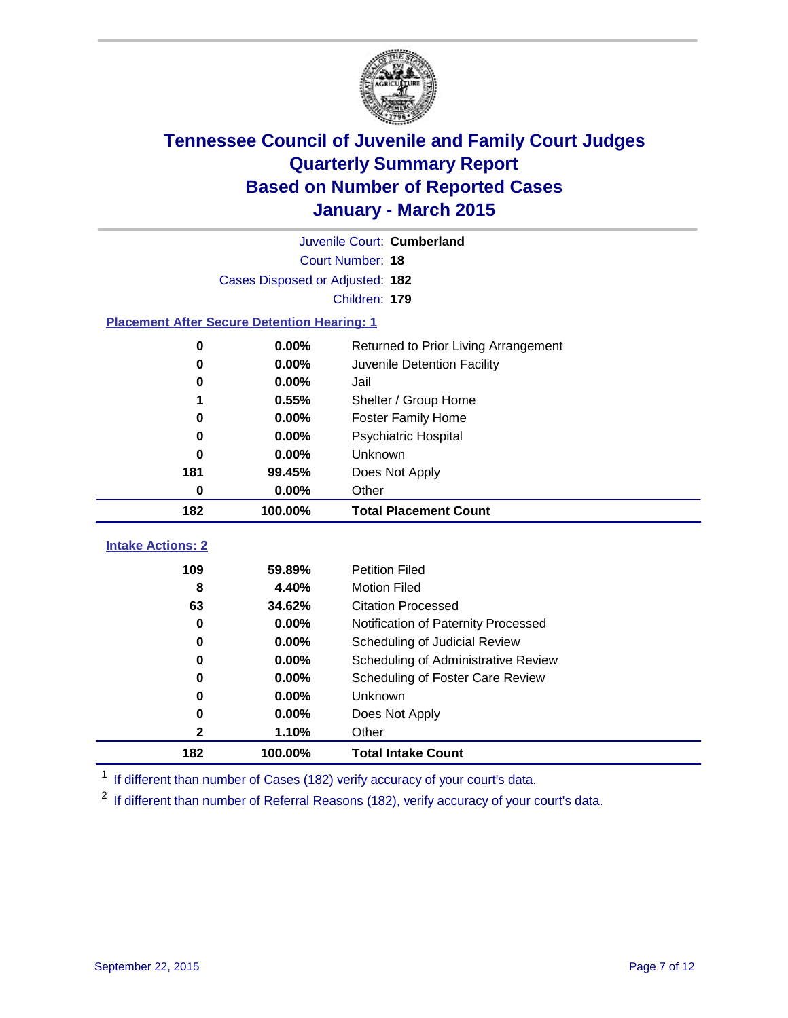

| Juvenile Court: Cumberland                         |                                 |                                      |  |  |  |  |
|----------------------------------------------------|---------------------------------|--------------------------------------|--|--|--|--|
|                                                    | Court Number: 18                |                                      |  |  |  |  |
|                                                    | Cases Disposed or Adjusted: 182 |                                      |  |  |  |  |
|                                                    | Children: 179                   |                                      |  |  |  |  |
| <b>Placement After Secure Detention Hearing: 1</b> |                                 |                                      |  |  |  |  |
| $\bf{0}$                                           | 0.00%                           | Returned to Prior Living Arrangement |  |  |  |  |
| 0                                                  | 0.00%                           | Juvenile Detention Facility          |  |  |  |  |
| 0                                                  | 0.00%                           | Jail                                 |  |  |  |  |
| 1                                                  | 0.55%                           | Shelter / Group Home                 |  |  |  |  |
| $\bf{0}$                                           | 0.00%                           | <b>Foster Family Home</b>            |  |  |  |  |
| 0                                                  | 0.00%                           | <b>Psychiatric Hospital</b>          |  |  |  |  |
| 0                                                  | 0.00%                           | Unknown                              |  |  |  |  |
| 181                                                | 99.45%                          | Does Not Apply                       |  |  |  |  |
| $\bf{0}$                                           | 0.00%                           | Other                                |  |  |  |  |
| 182                                                | 100.00%                         | <b>Total Placement Count</b>         |  |  |  |  |
| <b>Intake Actions: 2</b>                           |                                 |                                      |  |  |  |  |
|                                                    |                                 |                                      |  |  |  |  |
| 109                                                | 59.89%                          | <b>Petition Filed</b>                |  |  |  |  |
| 8                                                  | 4.40%                           | <b>Motion Filed</b>                  |  |  |  |  |
| 63                                                 | 34.62%                          | <b>Citation Processed</b>            |  |  |  |  |
| $\bf{0}$                                           | 0.00%                           | Notification of Paternity Processed  |  |  |  |  |
| 0                                                  | 0.00%                           | Scheduling of Judicial Review        |  |  |  |  |
| 0                                                  | 0.00%                           | Scheduling of Administrative Review  |  |  |  |  |
| $\bf{0}$                                           | 0.00%                           | Scheduling of Foster Care Review     |  |  |  |  |
| 0                                                  | 0.00%                           | Unknown                              |  |  |  |  |
| 0                                                  | 0.00%                           | Does Not Apply                       |  |  |  |  |
| 2                                                  | 1.10%                           | Other                                |  |  |  |  |
| 182                                                | 100.00%                         | <b>Total Intake Count</b>            |  |  |  |  |

<sup>1</sup> If different than number of Cases (182) verify accuracy of your court's data.

<sup>2</sup> If different than number of Referral Reasons (182), verify accuracy of your court's data.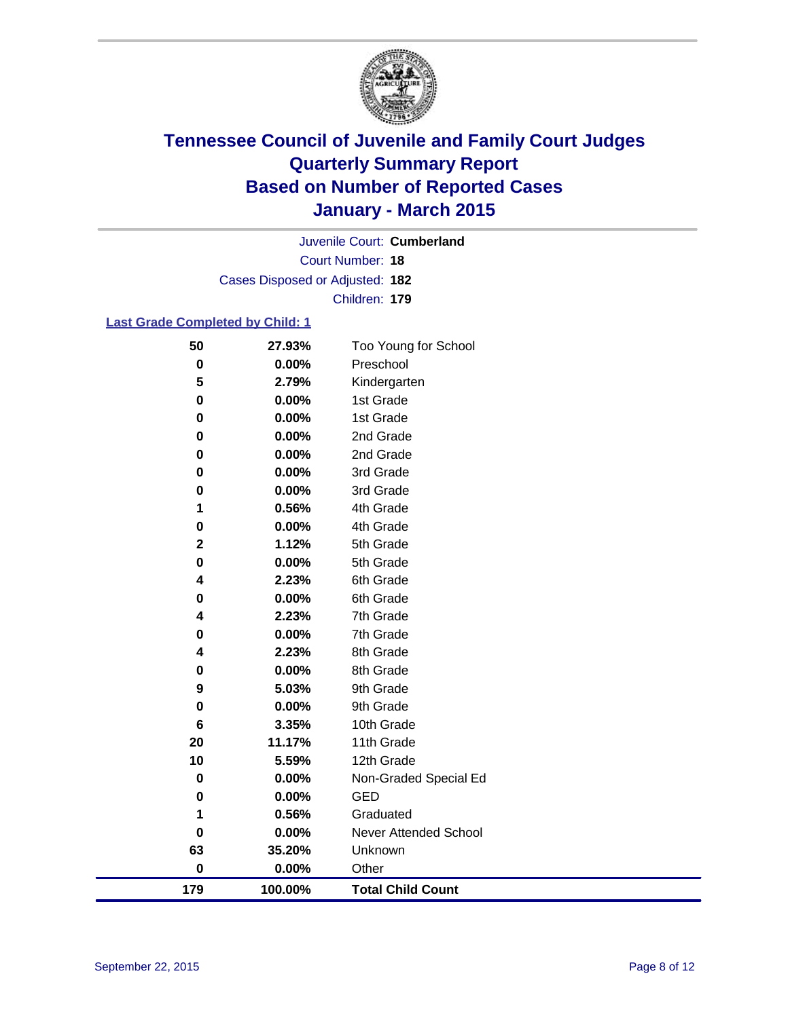

Court Number: **18** Juvenile Court: **Cumberland** Cases Disposed or Adjusted: **182** Children: **179**

### **Last Grade Completed by Child: 1**

| 50          | 27.93%  | Too Young for School     |
|-------------|---------|--------------------------|
| $\bf{0}$    | 0.00%   | Preschool                |
| 5           | 2.79%   | Kindergarten             |
| 0           | 0.00%   | 1st Grade                |
| $\pmb{0}$   | 0.00%   | 1st Grade                |
| 0           | 0.00%   | 2nd Grade                |
| 0           | 0.00%   | 2nd Grade                |
| 0           | 0.00%   | 3rd Grade                |
| 0           | 0.00%   | 3rd Grade                |
| 1           | 0.56%   | 4th Grade                |
| 0           | 0.00%   | 4th Grade                |
| $\mathbf 2$ | 1.12%   | 5th Grade                |
| 0           | 0.00%   | 5th Grade                |
| 4           | 2.23%   | 6th Grade                |
| 0           | 0.00%   | 6th Grade                |
| 4           | 2.23%   | 7th Grade                |
| 0           | 0.00%   | 7th Grade                |
| 4           | 2.23%   | 8th Grade                |
| 0           | 0.00%   | 8th Grade                |
| 9           | 5.03%   | 9th Grade                |
| 0           | 0.00%   | 9th Grade                |
| 6           | 3.35%   | 10th Grade               |
| 20          | 11.17%  | 11th Grade               |
| 10          | 5.59%   | 12th Grade               |
| $\bf{0}$    | 0.00%   | Non-Graded Special Ed    |
| 0           | 0.00%   | <b>GED</b>               |
| 1           | 0.56%   | Graduated                |
| 0           | 0.00%   | Never Attended School    |
| 63          | 35.20%  | Unknown                  |
| $\bf{0}$    | 0.00%   | Other                    |
| 179         | 100.00% | <b>Total Child Count</b> |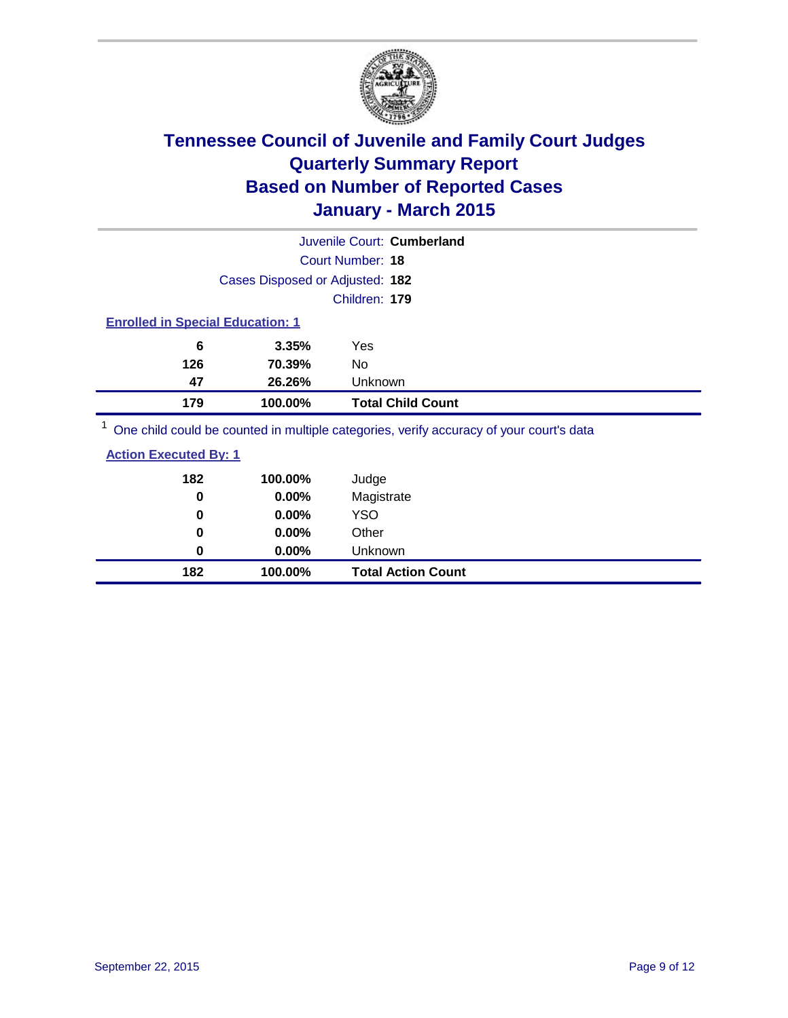

|                                         |         | Juvenile Court: Cumberland                                                                                                                                                                                                   |
|-----------------------------------------|---------|------------------------------------------------------------------------------------------------------------------------------------------------------------------------------------------------------------------------------|
| Court Number: 18                        |         |                                                                                                                                                                                                                              |
| Cases Disposed or Adjusted: 182         |         |                                                                                                                                                                                                                              |
|                                         |         | Children: 179                                                                                                                                                                                                                |
| <b>Enrolled in Special Education: 1</b> |         |                                                                                                                                                                                                                              |
| 6                                       | 3.35%   | Yes                                                                                                                                                                                                                          |
| 126                                     | 70.39%  | No.                                                                                                                                                                                                                          |
| 47                                      | 26.26%  | <b>Unknown</b>                                                                                                                                                                                                               |
| 179                                     | 100.00% | <b>Total Child Count</b>                                                                                                                                                                                                     |
|                                         |         | 1. A set of the set of the set of the set of the set of the set of the set of the set of the set of the set of the set of the set of the set of the set of the set of the set of the set of the set of the set of the set of |

One child could be counted in multiple categories, verify accuracy of your court's data

| 182<br>0 | 100.00%<br>0.00% | Judge<br>Magistrate       |
|----------|------------------|---------------------------|
| 0        | $0.00\%$         | <b>YSO</b>                |
| 0        | $0.00\%$         | Other                     |
| 0        | $0.00\%$         | Unknown                   |
| 182      | 100.00%          | <b>Total Action Count</b> |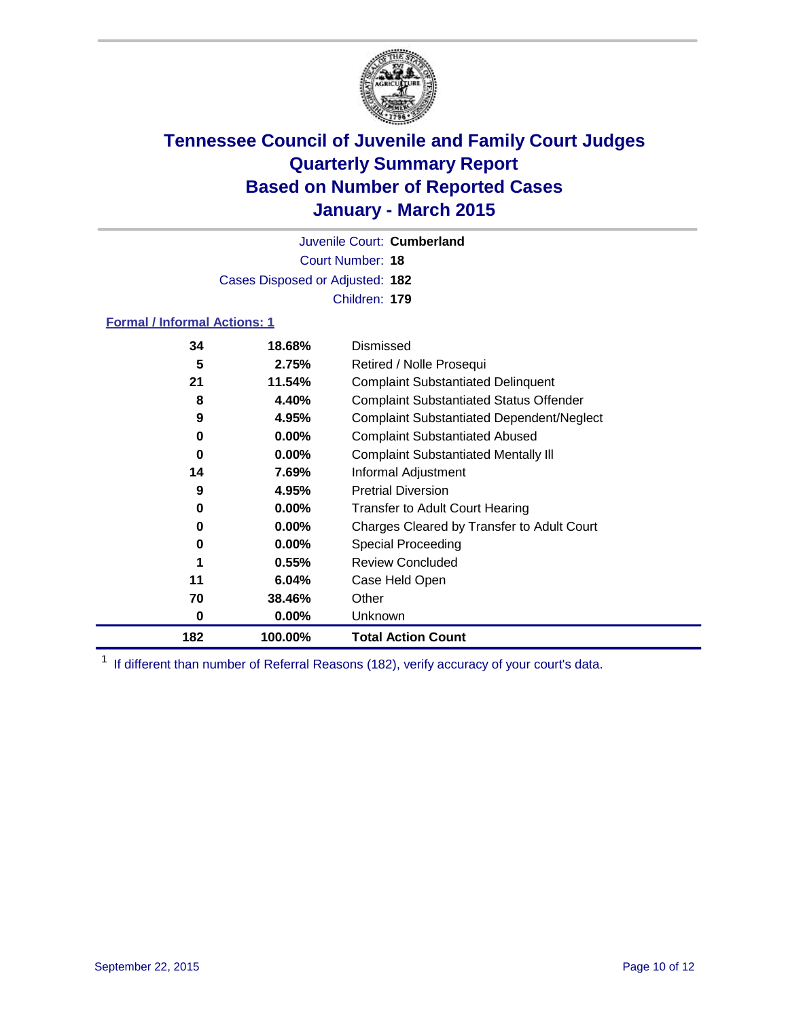

Court Number: **18** Juvenile Court: **Cumberland** Cases Disposed or Adjusted: **182** Children: **179**

### **Formal / Informal Actions: 1**

| 34  | 18.68%   | Dismissed                                        |
|-----|----------|--------------------------------------------------|
| 5   | 2.75%    | Retired / Nolle Prosequi                         |
| 21  | 11.54%   | <b>Complaint Substantiated Delinquent</b>        |
| 8   | 4.40%    | <b>Complaint Substantiated Status Offender</b>   |
| 9   | 4.95%    | <b>Complaint Substantiated Dependent/Neglect</b> |
| 0   | $0.00\%$ | <b>Complaint Substantiated Abused</b>            |
| 0   | $0.00\%$ | <b>Complaint Substantiated Mentally III</b>      |
| 14  | 7.69%    | Informal Adjustment                              |
| 9   | 4.95%    | <b>Pretrial Diversion</b>                        |
| 0   | $0.00\%$ | <b>Transfer to Adult Court Hearing</b>           |
| 0   | $0.00\%$ | Charges Cleared by Transfer to Adult Court       |
| 0   | $0.00\%$ | Special Proceeding                               |
| 1   | 0.55%    | <b>Review Concluded</b>                          |
| 11  | 6.04%    | Case Held Open                                   |
| 70  | 38.46%   | Other                                            |
| 0   | $0.00\%$ | <b>Unknown</b>                                   |
| 182 | 100.00%  | <b>Total Action Count</b>                        |

<sup>1</sup> If different than number of Referral Reasons (182), verify accuracy of your court's data.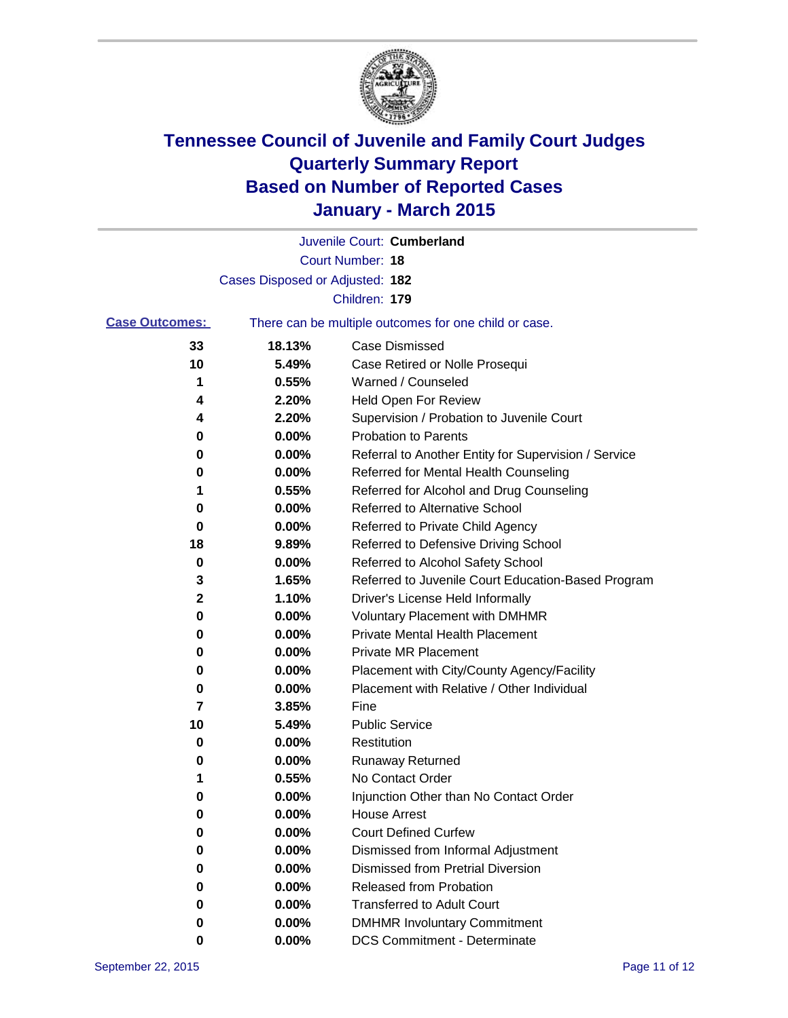

|                       |                                 | Juvenile Court: Cumberland                            |
|-----------------------|---------------------------------|-------------------------------------------------------|
|                       |                                 | <b>Court Number: 18</b>                               |
|                       | Cases Disposed or Adjusted: 182 |                                                       |
|                       |                                 | Children: 179                                         |
| <b>Case Outcomes:</b> |                                 | There can be multiple outcomes for one child or case. |
| 33                    | 18.13%                          | <b>Case Dismissed</b>                                 |
| 10                    | 5.49%                           | Case Retired or Nolle Prosequi                        |
| 1                     | 0.55%                           | Warned / Counseled                                    |
| 4                     | 2.20%                           | Held Open For Review                                  |
| 4                     | 2.20%                           | Supervision / Probation to Juvenile Court             |
| 0                     | 0.00%                           | <b>Probation to Parents</b>                           |
| 0                     | 0.00%                           | Referral to Another Entity for Supervision / Service  |
| 0                     | 0.00%                           | Referred for Mental Health Counseling                 |
| 1                     | 0.55%                           | Referred for Alcohol and Drug Counseling              |
| 0                     | 0.00%                           | <b>Referred to Alternative School</b>                 |
| 0                     | 0.00%                           | Referred to Private Child Agency                      |
| 18                    | 9.89%                           | Referred to Defensive Driving School                  |
| 0                     | 0.00%                           | Referred to Alcohol Safety School                     |
| 3                     | 1.65%                           | Referred to Juvenile Court Education-Based Program    |
| 2                     | 1.10%                           | Driver's License Held Informally                      |
| 0                     | 0.00%                           | <b>Voluntary Placement with DMHMR</b>                 |
| 0                     | 0.00%                           | <b>Private Mental Health Placement</b>                |
| 0                     | 0.00%                           | <b>Private MR Placement</b>                           |
| 0                     | 0.00%                           | Placement with City/County Agency/Facility            |
| 0                     | 0.00%                           | Placement with Relative / Other Individual            |
| 7                     | 3.85%                           | Fine                                                  |
| 10                    | 5.49%                           | <b>Public Service</b>                                 |
| 0                     | 0.00%                           | Restitution                                           |
| 0                     | 0.00%                           | <b>Runaway Returned</b>                               |
| 1                     | 0.55%                           | No Contact Order                                      |
| 0                     | 0.00%                           | Injunction Other than No Contact Order                |
| 0                     | 0.00%                           | <b>House Arrest</b>                                   |
| 0                     | 0.00%                           | <b>Court Defined Curfew</b>                           |
| 0                     | 0.00%                           | Dismissed from Informal Adjustment                    |
| 0                     | 0.00%                           | <b>Dismissed from Pretrial Diversion</b>              |
| 0                     | 0.00%                           | Released from Probation                               |
| 0                     | 0.00%                           | <b>Transferred to Adult Court</b>                     |
| 0                     | 0.00%                           | <b>DMHMR Involuntary Commitment</b>                   |
| 0                     | $0.00\%$                        | <b>DCS Commitment - Determinate</b>                   |